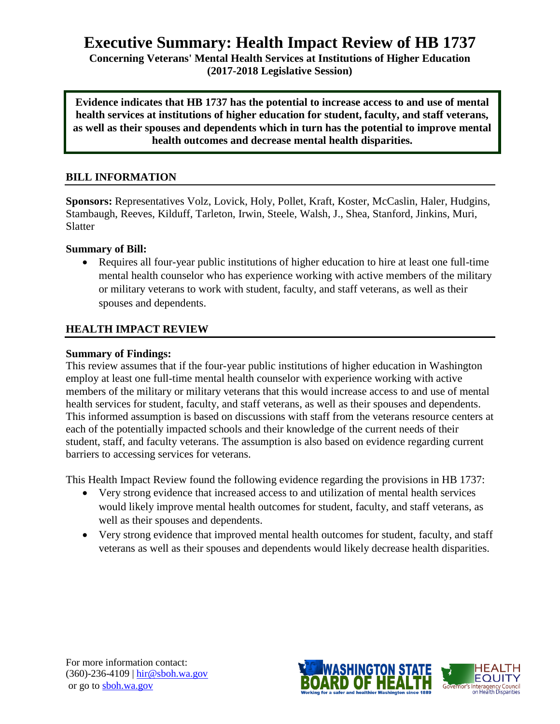# **Executive Summary: Health Impact Review of HB 1737**

**Concerning Veterans' Mental Health Services at Institutions of Higher Education (2017-2018 Legislative Session)**

**Evidence indicates that HB 1737 has the potential to increase access to and use of mental health services at institutions of higher education for student, faculty, and staff veterans, as well as their spouses and dependents which in turn has the potential to improve mental health outcomes and decrease mental health disparities.**

### **BILL INFORMATION**

**Sponsors:** Representatives Volz, Lovick, Holy, Pollet, Kraft, Koster, McCaslin, Haler, Hudgins, Stambaugh, Reeves, Kilduff, Tarleton, Irwin, Steele, Walsh, J., Shea, Stanford, Jinkins, Muri, Slatter

#### **Summary of Bill:**

 Requires all four-year public institutions of higher education to hire at least one full-time mental health counselor who has experience working with active members of the military or military veterans to work with student, faculty, and staff veterans, as well as their spouses and dependents.

### **HEALTH IMPACT REVIEW**

#### **Summary of Findings:**

This review assumes that if the four-year public institutions of higher education in Washington employ at least one full-time mental health counselor with experience working with active members of the military or military veterans that this would increase access to and use of mental health services for student, faculty, and staff veterans, as well as their spouses and dependents. This informed assumption is based on discussions with staff from the veterans resource centers at each of the potentially impacted schools and their knowledge of the current needs of their student, staff, and faculty veterans. The assumption is also based on evidence regarding current barriers to accessing services for veterans.

This Health Impact Review found the following evidence regarding the provisions in HB 1737:

- Very strong evidence that increased access to and utilization of mental health services would likely improve mental health outcomes for student, faculty, and staff veterans, as well as their spouses and dependents.
- Very strong evidence that improved mental health outcomes for student, faculty, and staff veterans as well as their spouses and dependents would likely decrease health disparities.



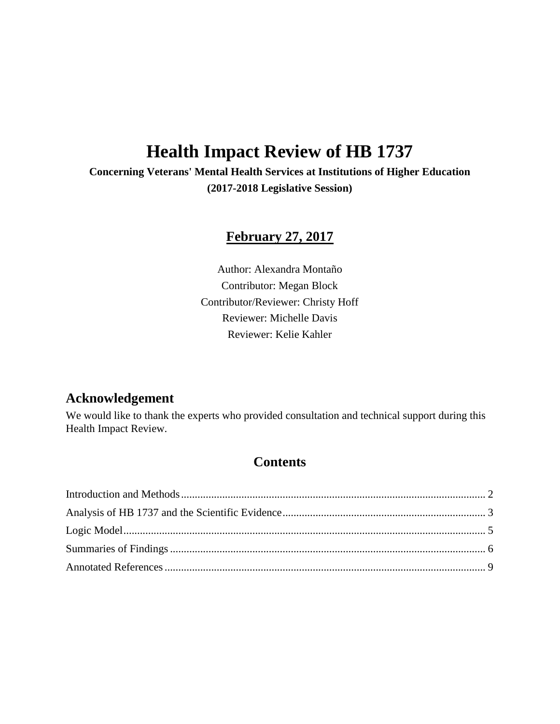# **Health Impact Review of HB 1737**

**Concerning Veterans' Mental Health Services at Institutions of Higher Education (2017-2018 Legislative Session)**

# **February 27, 2017**

Author: Alexandra Montaño Contributor: Megan Block Contributor/Reviewer: Christy Hoff Reviewer: Michelle Davis Reviewer: Kelie Kahler

# **Acknowledgement**

We would like to thank the experts who provided consultation and technical support during this Health Impact Review.

# **Contents**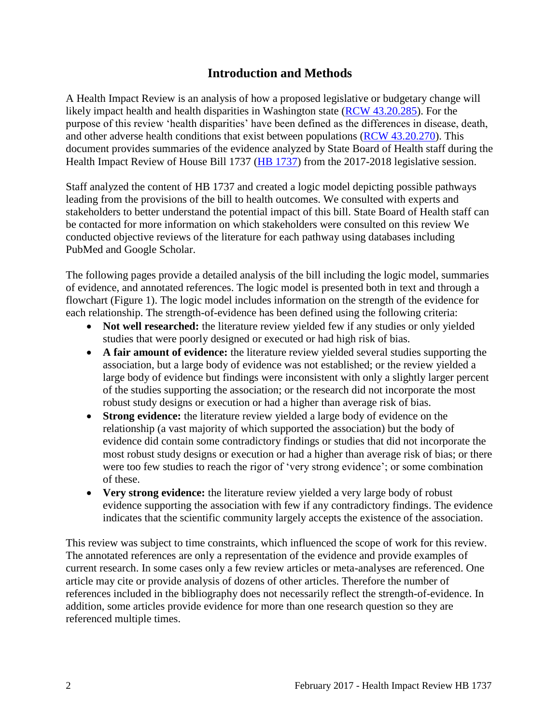# **Introduction and Methods**

<span id="page-2-0"></span>A Health Impact Review is an analysis of how a proposed legislative or budgetary change will likely impact health and health disparities in Washington state [\(RCW 43.20.285\)](http://apps.leg.wa.gov/rcw/default.aspx?cite=43.20.285). For the purpose of this review 'health disparities' have been defined as the differences in disease, death, and other adverse health conditions that exist between populations [\(RCW 43.20.270\)](http://apps.leg.wa.gov/rcw/default.aspx?cite=43.20.270). This document provides summaries of the evidence analyzed by State Board of Health staff during the Health Impact Review of House Bill 1737 [\(HB 1737\)](http://lawfilesext.leg.wa.gov/biennium/2017-18/Pdf/Bills/House%20Bills/1737.pdf) from the 2017-2018 legislative session.

Staff analyzed the content of HB 1737 and created a logic model depicting possible pathways leading from the provisions of the bill to health outcomes. We consulted with experts and stakeholders to better understand the potential impact of this bill. State Board of Health staff can be contacted for more information on which stakeholders were consulted on this review We conducted objective reviews of the literature for each pathway using databases including PubMed and Google Scholar.

The following pages provide a detailed analysis of the bill including the logic model, summaries of evidence, and annotated references. The logic model is presented both in text and through a flowchart (Figure 1). The logic model includes information on the strength of the evidence for each relationship. The strength-of-evidence has been defined using the following criteria:

- **Not well researched:** the literature review yielded few if any studies or only yielded studies that were poorly designed or executed or had high risk of bias.
- **A fair amount of evidence:** the literature review yielded several studies supporting the association, but a large body of evidence was not established; or the review yielded a large body of evidence but findings were inconsistent with only a slightly larger percent of the studies supporting the association; or the research did not incorporate the most robust study designs or execution or had a higher than average risk of bias.
- **Strong evidence:** the literature review yielded a large body of evidence on the relationship (a vast majority of which supported the association) but the body of evidence did contain some contradictory findings or studies that did not incorporate the most robust study designs or execution or had a higher than average risk of bias; or there were too few studies to reach the rigor of 'very strong evidence'; or some combination of these.
- **Very strong evidence:** the literature review yielded a very large body of robust evidence supporting the association with few if any contradictory findings. The evidence indicates that the scientific community largely accepts the existence of the association.

<span id="page-2-1"></span>This review was subject to time constraints, which influenced the scope of work for this review. The annotated references are only a representation of the evidence and provide examples of current research. In some cases only a few review articles or meta-analyses are referenced. One article may cite or provide analysis of dozens of other articles. Therefore the number of references included in the bibliography does not necessarily reflect the strength-of-evidence. In addition, some articles provide evidence for more than one research question so they are referenced multiple times.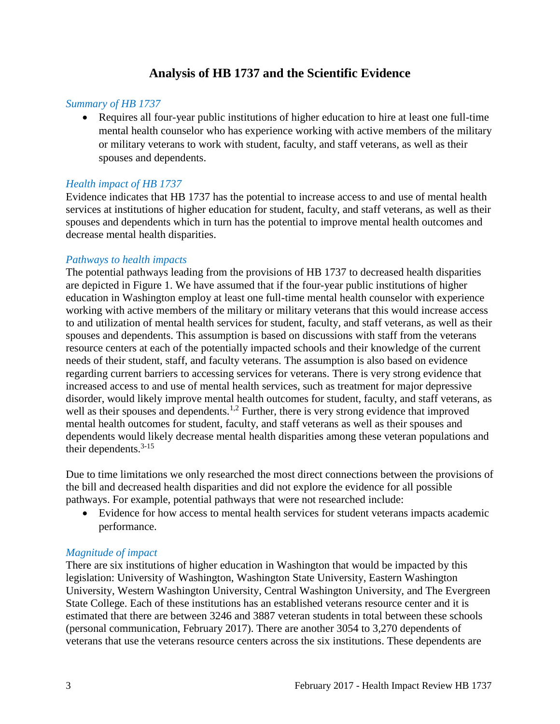# **Analysis of HB 1737 and the Scientific Evidence**

#### *Summary of HB 1737*

 Requires all four-year public institutions of higher education to hire at least one full-time mental health counselor who has experience working with active members of the military or military veterans to work with student, faculty, and staff veterans, as well as their spouses and dependents.

### *Health impact of HB 1737*

Evidence indicates that HB 1737 has the potential to increase access to and use of mental health services at institutions of higher education for student, faculty, and staff veterans, as well as their spouses and dependents which in turn has the potential to improve mental health outcomes and decrease mental health disparities.

#### *Pathways to health impacts*

The potential pathways leading from the provisions of HB 1737 to decreased health disparities are depicted in Figure 1. We have assumed that if the four-year public institutions of higher education in Washington employ at least one full-time mental health counselor with experience working with active members of the military or military veterans that this would increase access to and utilization of mental health services for student, faculty, and staff veterans, as well as their spouses and dependents. This assumption is based on discussions with staff from the veterans resource centers at each of the potentially impacted schools and their knowledge of the current needs of their student, staff, and faculty veterans. The assumption is also based on evidence regarding current barriers to accessing services for veterans. There is very strong evidence that increased access to and use of mental health services, such as treatment for major depressive disorder, would likely improve mental health outcomes for student, faculty, and staff veterans, as well as their spouses and dependents.<sup>1,2</sup> Further, there is very strong evidence that improved mental health outcomes for student, faculty, and staff veterans as well as their spouses and dependents would likely decrease mental health disparities among these veteran populations and their dependents. 3-15

Due to time limitations we only researched the most direct connections between the provisions of the bill and decreased health disparities and did not explore the evidence for all possible pathways. For example, potential pathways that were not researched include:

 Evidence for how access to mental health services for student veterans impacts academic performance.

## *Magnitude of impact*

There are six institutions of higher education in Washington that would be impacted by this legislation: University of Washington, Washington State University, Eastern Washington University, Western Washington University, Central Washington University, and The Evergreen State College. Each of these institutions has an established veterans resource center and it is estimated that there are between 3246 and 3887 veteran students in total between these schools (personal communication, February 2017). There are another 3054 to 3,270 dependents of veterans that use the veterans resource centers across the six institutions. These dependents are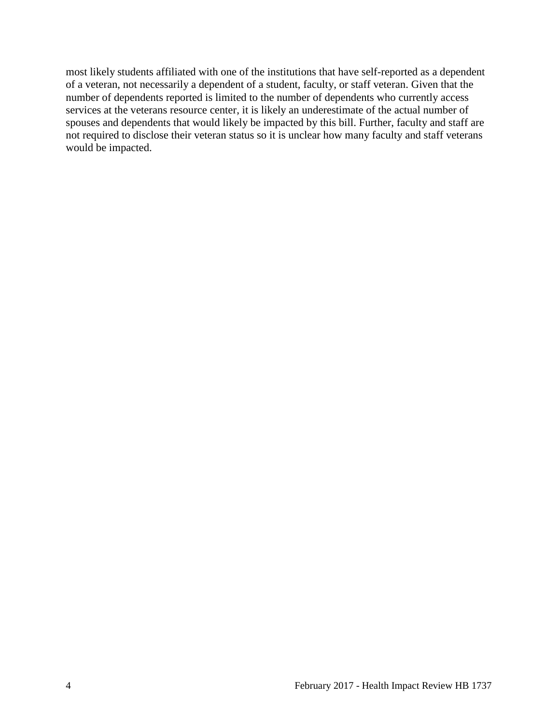most likely students affiliated with one of the institutions that have self-reported as a dependent of a veteran, not necessarily a dependent of a student, faculty, or staff veteran. Given that the number of dependents reported is limited to the number of dependents who currently access services at the veterans resource center, it is likely an underestimate of the actual number of spouses and dependents that would likely be impacted by this bill. Further, faculty and staff are not required to disclose their veteran status so it is unclear how many faculty and staff veterans would be impacted.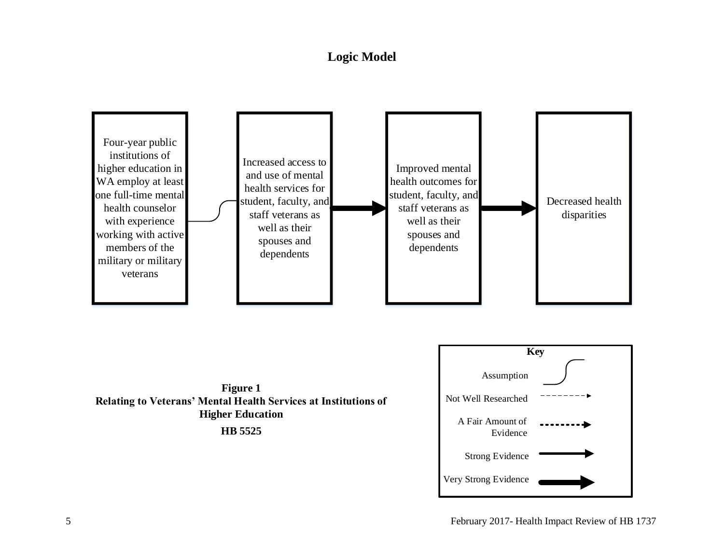# **Logic Model**

<span id="page-5-0"></span>



**HB 5525**

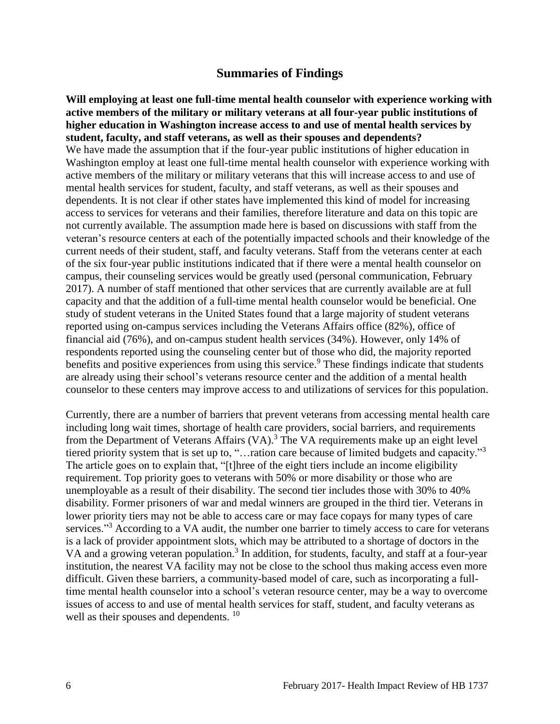# **Summaries of Findings**

<span id="page-6-0"></span>**Will employing at least one full-time mental health counselor with experience working with active members of the military or military veterans at all four-year public institutions of higher education in Washington increase access to and use of mental health services by student, faculty, and staff veterans, as well as their spouses and dependents?** We have made the assumption that if the four-year public institutions of higher education in Washington employ at least one full-time mental health counselor with experience working with active members of the military or military veterans that this will increase access to and use of mental health services for student, faculty, and staff veterans, as well as their spouses and dependents. It is not clear if other states have implemented this kind of model for increasing access to services for veterans and their families, therefore literature and data on this topic are not currently available. The assumption made here is based on discussions with staff from the veteran's resource centers at each of the potentially impacted schools and their knowledge of the current needs of their student, staff, and faculty veterans. Staff from the veterans center at each of the six four-year public institutions indicated that if there were a mental health counselor on campus, their counseling services would be greatly used (personal communication, February 2017). A number of staff mentioned that other services that are currently available are at full capacity and that the addition of a full-time mental health counselor would be beneficial. One study of student veterans in the United States found that a large majority of student veterans reported using on-campus services including the Veterans Affairs office (82%), office of financial aid (76%), and on-campus student health services (34%). However, only 14% of respondents reported using the counseling center but of those who did, the majority reported benefits and positive experiences from using this service.<sup>9</sup> These findings indicate that students are already using their school's veterans resource center and the addition of a mental health counselor to these centers may improve access to and utilizations of services for this population.

Currently, there are a number of barriers that prevent veterans from accessing mental health care including long wait times, shortage of health care providers, social barriers, and requirements from the Department of Veterans Affairs (VA).<sup>3</sup> The VA requirements make up an eight level tiered priority system that is set up to, "…ration care because of limited budgets and capacity."<sup>3</sup> The article goes on to explain that, "[t]hree of the eight tiers include an income eligibility requirement. Top priority goes to veterans with 50% or more disability or those who are unemployable as a result of their disability. The second tier includes those with 30% to 40% disability. Former prisoners of war and medal winners are grouped in the third tier. Veterans in lower priority tiers may not be able to access care or may face copays for many types of care services."<sup>3</sup> According to a VA audit, the number one barrier to timely access to care for veterans is a lack of provider appointment slots, which may be attributed to a shortage of doctors in the VA and a growing veteran population.<sup>3</sup> In addition, for students, faculty, and staff at a four-year institution, the nearest VA facility may not be close to the school thus making access even more difficult. Given these barriers, a community-based model of care, such as incorporating a fulltime mental health counselor into a school's veteran resource center, may be a way to overcome issues of access to and use of mental health services for staff, student, and faculty veterans as well as their spouses and dependents. <sup>10</sup>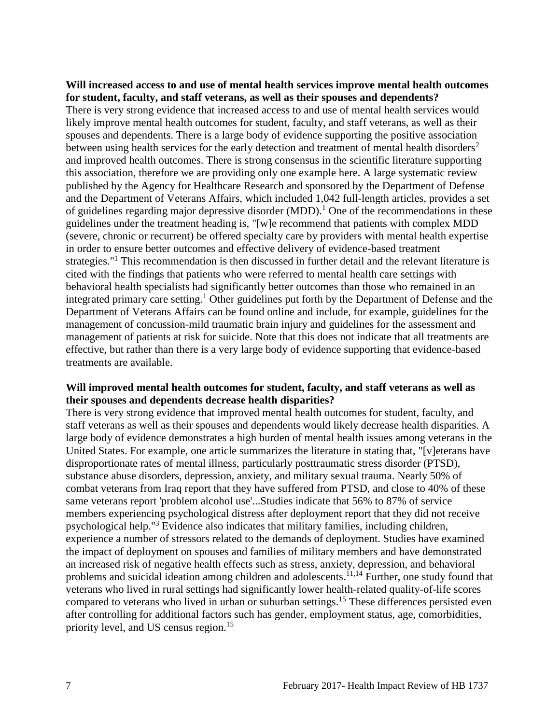#### **Will increased access to and use of mental health services improve mental health outcomes for student, faculty, and staff veterans, as well as their spouses and dependents?**

There is very strong evidence that increased access to and use of mental health services would likely improve mental health outcomes for student, faculty, and staff veterans, as well as their spouses and dependents. There is a large body of evidence supporting the positive association between using health services for the early detection and treatment of mental health disorders<sup>2</sup> and improved health outcomes. There is strong consensus in the scientific literature supporting this association, therefore we are providing only one example here. A large systematic review published by the Agency for Healthcare Research and sponsored by the Department of Defense and the Department of Veterans Affairs, which included 1,042 full-length articles, provides a set of guidelines regarding major depressive disorder (MDD).<sup>1</sup> One of the recommendations in these guidelines under the treatment heading is, "[w]e recommend that patients with complex MDD (severe, chronic or recurrent) be offered specialty care by providers with mental health expertise in order to ensure better outcomes and effective delivery of evidence-based treatment strategies."<sup>1</sup> This recommendation is then discussed in further detail and the relevant literature is cited with the findings that patients who were referred to mental health care settings with behavioral health specialists had significantly better outcomes than those who remained in an integrated primary care setting.<sup>1</sup> Other guidelines put forth by the Department of Defense and the Department of Veterans Affairs can be found online and include, for example, guidelines for the management of concussion-mild traumatic brain injury and guidelines for the assessment and management of patients at risk for suicide. Note that this does not indicate that all treatments are effective, but rather than there is a very large body of evidence supporting that evidence-based treatments are available.

#### **Will improved mental health outcomes for student, faculty, and staff veterans as well as their spouses and dependents decrease health disparities?**

There is very strong evidence that improved mental health outcomes for student, faculty, and staff veterans as well as their spouses and dependents would likely decrease health disparities. A large body of evidence demonstrates a high burden of mental health issues among veterans in the United States. For example, one article summarizes the literature in stating that, "[v]eterans have disproportionate rates of mental illness, particularly posttraumatic stress disorder (PTSD), substance abuse disorders, depression, anxiety, and military sexual trauma. Nearly 50% of combat veterans from Iraq report that they have suffered from PTSD, and close to 40% of these same veterans report 'problem alcohol use'...Studies indicate that 56% to 87% of service members experiencing psychological distress after deployment report that they did not receive psychological help."<sup>3</sup> Evidence also indicates that military families, including children, experience a number of stressors related to the demands of deployment. Studies have examined the impact of deployment on spouses and families of military members and have demonstrated an increased risk of negative health effects such as stress, anxiety, depression, and behavioral problems and suicidal ideation among children and adolescents.<sup>11,14</sup> Further, one study found that veterans who lived in rural settings had significantly lower health-related quality-of-life scores compared to veterans who lived in urban or suburban settings.<sup>15</sup> These differences persisted even after controlling for additional factors such has gender, employment status, age, comorbidities, priority level, and US census region.<sup>15</sup>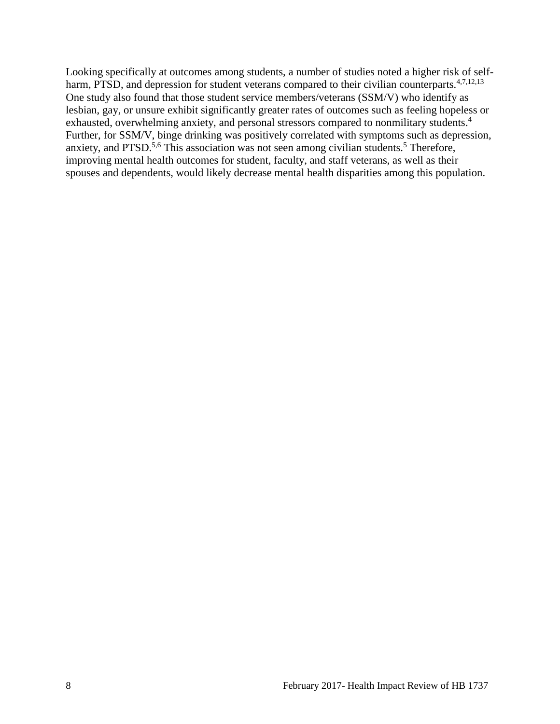Looking specifically at outcomes among students, a number of studies noted a higher risk of selfharm, PTSD, and depression for student veterans compared to their civilian counterparts.<sup>4,7,12,13</sup> One study also found that those student service members/veterans (SSM/V) who identify as lesbian, gay, or unsure exhibit significantly greater rates of outcomes such as feeling hopeless or exhausted, overwhelming anxiety, and personal stressors compared to nonmilitary students.<sup>4</sup> Further, for SSM/V, binge drinking was positively correlated with symptoms such as depression, anxiety, and PTSD.<sup>5,6</sup> This association was not seen among civilian students.<sup>5</sup> Therefore, improving mental health outcomes for student, faculty, and staff veterans, as well as their spouses and dependents, would likely decrease mental health disparities among this population.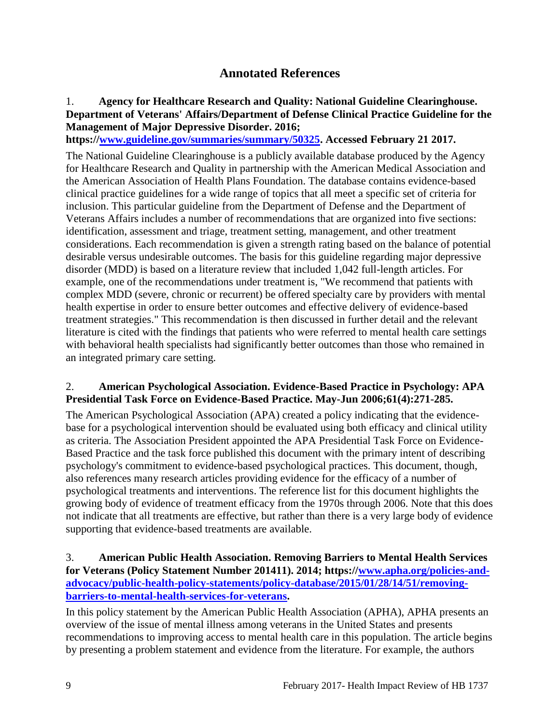# **Annotated References**

# 1. **Agency for Healthcare Research and Quality: National Guideline Clearinghouse. Department of Veterans' Affairs/Department of Defense Clinical Practice Guideline for the Management of Major Depressive Disorder. 2016;**

**https:/[/www.guideline.gov/summaries/summary/50325.](http://www.guideline.gov/summaries/summary/50325) Accessed February 21 2017.**

The National Guideline Clearinghouse is a publicly available database produced by the Agency for Healthcare Research and Quality in partnership with the American Medical Association and the American Association of Health Plans Foundation. The database contains evidence-based clinical practice guidelines for a wide range of topics that all meet a specific set of criteria for inclusion. This particular guideline from the Department of Defense and the Department of Veterans Affairs includes a number of recommendations that are organized into five sections: identification, assessment and triage, treatment setting, management, and other treatment considerations. Each recommendation is given a strength rating based on the balance of potential desirable versus undesirable outcomes. The basis for this guideline regarding major depressive disorder (MDD) is based on a literature review that included 1,042 full-length articles. For example, one of the recommendations under treatment is, "We recommend that patients with complex MDD (severe, chronic or recurrent) be offered specialty care by providers with mental health expertise in order to ensure better outcomes and effective delivery of evidence-based treatment strategies." This recommendation is then discussed in further detail and the relevant literature is cited with the findings that patients who were referred to mental health care settings with behavioral health specialists had significantly better outcomes than those who remained in an integrated primary care setting.

## 2. **American Psychological Association. Evidence-Based Practice in Psychology: APA Presidential Task Force on Evidence-Based Practice. May-Jun 2006;61(4):271-285.**

The American Psychological Association (APA) created a policy indicating that the evidencebase for a psychological intervention should be evaluated using both efficacy and clinical utility as criteria. The Association President appointed the APA Presidential Task Force on Evidence-Based Practice and the task force published this document with the primary intent of describing psychology's commitment to evidence-based psychological practices. This document, though, also references many research articles providing evidence for the efficacy of a number of psychological treatments and interventions. The reference list for this document highlights the growing body of evidence of treatment efficacy from the 1970s through 2006. Note that this does not indicate that all treatments are effective, but rather than there is a very large body of evidence supporting that evidence-based treatments are available.

# 3. **American Public Health Association. Removing Barriers to Mental Health Services for Veterans (Policy Statement Number 201411). 2014; https:/[/www.apha.org/policies-and](http://www.apha.org/policies-and-advocacy/public-health-policy-statements/policy-database/2015/01/28/14/51/removing-barriers-to-mental-health-services-for-veterans)[advocacy/public-health-policy-statements/policy-database/2015/01/28/14/51/removing](http://www.apha.org/policies-and-advocacy/public-health-policy-statements/policy-database/2015/01/28/14/51/removing-barriers-to-mental-health-services-for-veterans)[barriers-to-mental-health-services-for-veterans.](http://www.apha.org/policies-and-advocacy/public-health-policy-statements/policy-database/2015/01/28/14/51/removing-barriers-to-mental-health-services-for-veterans)**

In this policy statement by the American Public Health Association (APHA), APHA presents an overview of the issue of mental illness among veterans in the United States and presents recommendations to improving access to mental health care in this population. The article begins by presenting a problem statement and evidence from the literature. For example, the authors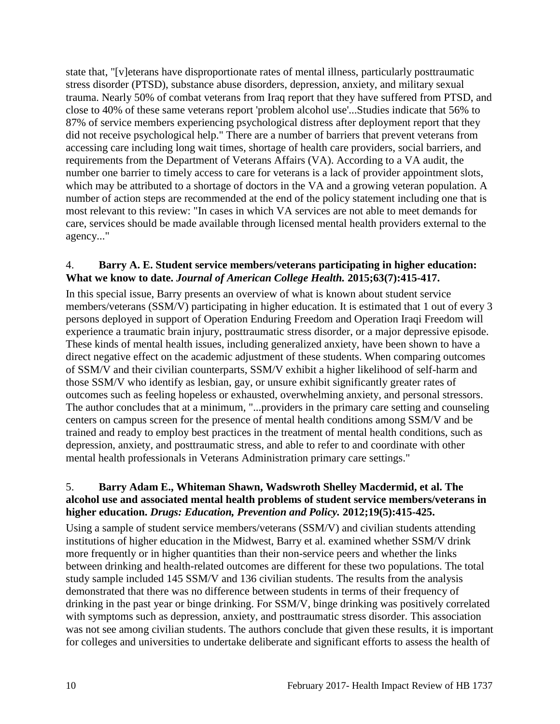state that, "[v]eterans have disproportionate rates of mental illness, particularly posttraumatic stress disorder (PTSD), substance abuse disorders, depression, anxiety, and military sexual trauma. Nearly 50% of combat veterans from Iraq report that they have suffered from PTSD, and close to 40% of these same veterans report 'problem alcohol use'...Studies indicate that 56% to 87% of service members experiencing psychological distress after deployment report that they did not receive psychological help." There are a number of barriers that prevent veterans from accessing care including long wait times, shortage of health care providers, social barriers, and requirements from the Department of Veterans Affairs (VA). According to a VA audit, the number one barrier to timely access to care for veterans is a lack of provider appointment slots, which may be attributed to a shortage of doctors in the VA and a growing veteran population. A number of action steps are recommended at the end of the policy statement including one that is most relevant to this review: "In cases in which VA services are not able to meet demands for care, services should be made available through licensed mental health providers external to the agency..."

## 4. **Barry A. E. Student service members/veterans participating in higher education: What we know to date.** *Journal of American College Health.* **2015;63(7):415-417.**

In this special issue, Barry presents an overview of what is known about student service members/veterans (SSM/V) participating in higher education. It is estimated that 1 out of every 3 persons deployed in support of Operation Enduring Freedom and Operation Iraqi Freedom will experience a traumatic brain injury, posttraumatic stress disorder, or a major depressive episode. These kinds of mental health issues, including generalized anxiety, have been shown to have a direct negative effect on the academic adjustment of these students. When comparing outcomes of SSM/V and their civilian counterparts, SSM/V exhibit a higher likelihood of self-harm and those SSM/V who identify as lesbian, gay, or unsure exhibit significantly greater rates of outcomes such as feeling hopeless or exhausted, overwhelming anxiety, and personal stressors. The author concludes that at a minimum, "...providers in the primary care setting and counseling centers on campus screen for the presence of mental health conditions among SSM/V and be trained and ready to employ best practices in the treatment of mental health conditions, such as depression, anxiety, and posttraumatic stress, and able to refer to and coordinate with other mental health professionals in Veterans Administration primary care settings."

# 5. **Barry Adam E., Whiteman Shawn, Wadswroth Shelley Macdermid, et al. The alcohol use and associated mental health problems of student service members/veterans in higher education.** *Drugs: Education, Prevention and Policy.* **2012;19(5):415-425.**

Using a sample of student service members/veterans (SSM/V) and civilian students attending institutions of higher education in the Midwest, Barry et al. examined whether SSM/V drink more frequently or in higher quantities than their non-service peers and whether the links between drinking and health-related outcomes are different for these two populations. The total study sample included 145 SSM/V and 136 civilian students. The results from the analysis demonstrated that there was no difference between students in terms of their frequency of drinking in the past year or binge drinking. For SSM/V, binge drinking was positively correlated with symptoms such as depression, anxiety, and posttraumatic stress disorder. This association was not see among civilian students. The authors conclude that given these results, it is important for colleges and universities to undertake deliberate and significant efforts to assess the health of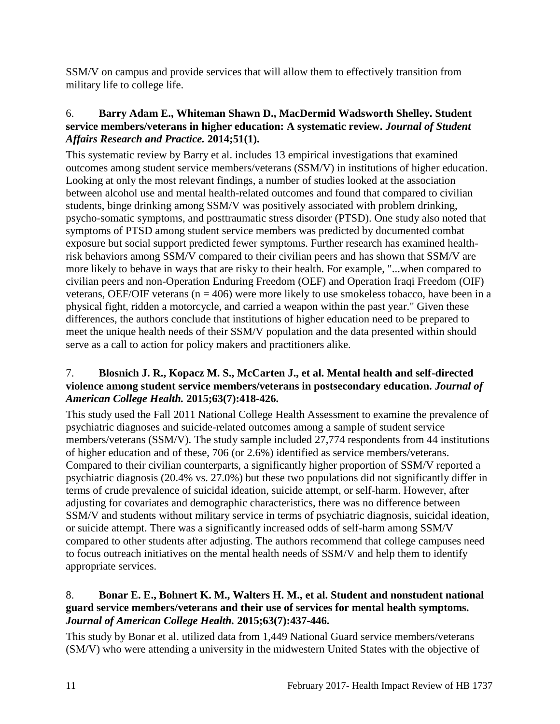SSM/V on campus and provide services that will allow them to effectively transition from military life to college life.

# 6. **Barry Adam E., Whiteman Shawn D., MacDermid Wadsworth Shelley. Student service members/veterans in higher education: A systematic review.** *Journal of Student Affairs Research and Practice.* **2014;51(1).**

This systematic review by Barry et al. includes 13 empirical investigations that examined outcomes among student service members/veterans (SSM/V) in institutions of higher education. Looking at only the most relevant findings, a number of studies looked at the association between alcohol use and mental health-related outcomes and found that compared to civilian students, binge drinking among SSM/V was positively associated with problem drinking, psycho-somatic symptoms, and posttraumatic stress disorder (PTSD). One study also noted that symptoms of PTSD among student service members was predicted by documented combat exposure but social support predicted fewer symptoms. Further research has examined healthrisk behaviors among SSM/V compared to their civilian peers and has shown that SSM/V are more likely to behave in ways that are risky to their health. For example, "...when compared to civilian peers and non-Operation Enduring Freedom (OEF) and Operation Iraqi Freedom (OIF) veterans, OEF/OIF veterans ( $n = 406$ ) were more likely to use smokeless tobacco, have been in a physical fight, ridden a motorcycle, and carried a weapon within the past year." Given these differences, the authors conclude that institutions of higher education need to be prepared to meet the unique health needs of their SSM/V population and the data presented within should serve as a call to action for policy makers and practitioners alike.

# 7. **Blosnich J. R., Kopacz M. S., McCarten J., et al. Mental health and self-directed violence among student service members/veterans in postsecondary education.** *Journal of American College Health.* **2015;63(7):418-426.**

This study used the Fall 2011 National College Health Assessment to examine the prevalence of psychiatric diagnoses and suicide-related outcomes among a sample of student service members/veterans (SSM/V). The study sample included 27,774 respondents from 44 institutions of higher education and of these, 706 (or 2.6%) identified as service members/veterans. Compared to their civilian counterparts, a significantly higher proportion of SSM/V reported a psychiatric diagnosis (20.4% vs. 27.0%) but these two populations did not significantly differ in terms of crude prevalence of suicidal ideation, suicide attempt, or self-harm. However, after adjusting for covariates and demographic characteristics, there was no difference between SSM/V and students without military service in terms of psychiatric diagnosis, suicidal ideation, or suicide attempt. There was a significantly increased odds of self-harm among SSM/V compared to other students after adjusting. The authors recommend that college campuses need to focus outreach initiatives on the mental health needs of SSM/V and help them to identify appropriate services.

# 8. **Bonar E. E., Bohnert K. M., Walters H. M., et al. Student and nonstudent national guard service members/veterans and their use of services for mental health symptoms.**  *Journal of American College Health.* **2015;63(7):437-446.**

This study by Bonar et al. utilized data from 1,449 National Guard service members/veterans (SM/V) who were attending a university in the midwestern United States with the objective of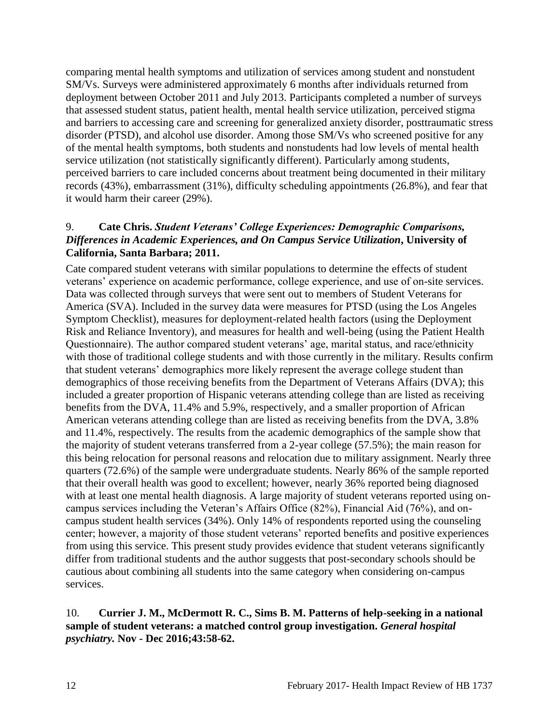comparing mental health symptoms and utilization of services among student and nonstudent SM/Vs. Surveys were administered approximately 6 months after individuals returned from deployment between October 2011 and July 2013. Participants completed a number of surveys that assessed student status, patient health, mental health service utilization, perceived stigma and barriers to accessing care and screening for generalized anxiety disorder, posttraumatic stress disorder (PTSD), and alcohol use disorder. Among those SM/Vs who screened positive for any of the mental health symptoms, both students and nonstudents had low levels of mental health service utilization (not statistically significantly different). Particularly among students, perceived barriers to care included concerns about treatment being documented in their military records (43%), embarrassment (31%), difficulty scheduling appointments (26.8%), and fear that it would harm their career (29%).

## 9. **Cate Chris.** *Student Veterans' College Experiences: Demographic Comparisons, Differences in Academic Experiences, and On Campus Service Utilization***, University of California, Santa Barbara; 2011.**

Cate compared student veterans with similar populations to determine the effects of student veterans' experience on academic performance, college experience, and use of on-site services. Data was collected through surveys that were sent out to members of Student Veterans for America (SVA). Included in the survey data were measures for PTSD (using the Los Angeles Symptom Checklist), measures for deployment-related health factors (using the Deployment Risk and Reliance Inventory), and measures for health and well-being (using the Patient Health Questionnaire). The author compared student veterans' age, marital status, and race/ethnicity with those of traditional college students and with those currently in the military. Results confirm that student veterans' demographics more likely represent the average college student than demographics of those receiving benefits from the Department of Veterans Affairs (DVA); this included a greater proportion of Hispanic veterans attending college than are listed as receiving benefits from the DVA, 11.4% and 5.9%, respectively, and a smaller proportion of African American veterans attending college than are listed as receiving benefits from the DVA, 3.8% and 11.4%, respectively. The results from the academic demographics of the sample show that the majority of student veterans transferred from a 2-year college (57.5%); the main reason for this being relocation for personal reasons and relocation due to military assignment. Nearly three quarters (72.6%) of the sample were undergraduate students. Nearly 86% of the sample reported that their overall health was good to excellent; however, nearly 36% reported being diagnosed with at least one mental health diagnosis. A large majority of student veterans reported using oncampus services including the Veteran's Affairs Office (82%), Financial Aid (76%), and oncampus student health services (34%). Only 14% of respondents reported using the counseling center; however, a majority of those student veterans' reported benefits and positive experiences from using this service. This present study provides evidence that student veterans significantly differ from traditional students and the author suggests that post-secondary schools should be cautious about combining all students into the same category when considering on-campus services.

# 10. **Currier J. M., McDermott R. C., Sims B. M. Patterns of help-seeking in a national sample of student veterans: a matched control group investigation.** *General hospital psychiatry.* **Nov - Dec 2016;43:58-62.**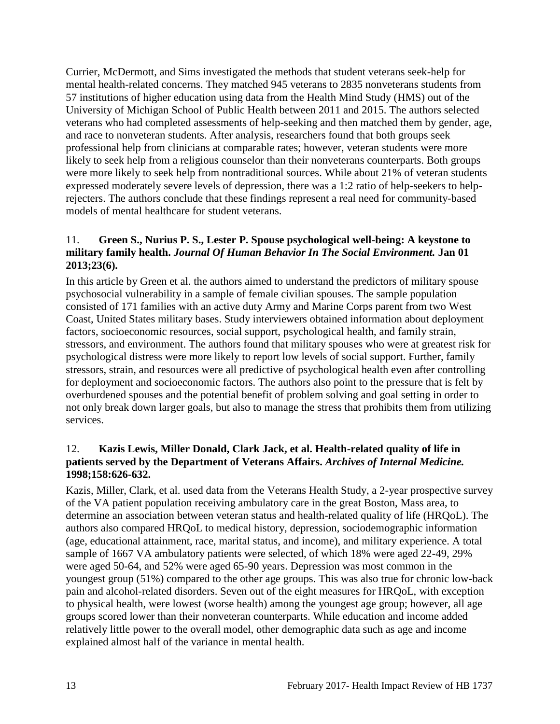Currier, McDermott, and Sims investigated the methods that student veterans seek-help for mental health-related concerns. They matched 945 veterans to 2835 nonveterans students from 57 institutions of higher education using data from the Health Mind Study (HMS) out of the University of Michigan School of Public Health between 2011 and 2015. The authors selected veterans who had completed assessments of help-seeking and then matched them by gender, age, and race to nonveteran students. After analysis, researchers found that both groups seek professional help from clinicians at comparable rates; however, veteran students were more likely to seek help from a religious counselor than their nonveterans counterparts. Both groups were more likely to seek help from nontraditional sources. While about 21% of veteran students expressed moderately severe levels of depression, there was a 1:2 ratio of help-seekers to helprejecters. The authors conclude that these findings represent a real need for community-based models of mental healthcare for student veterans.

# 11. **Green S., Nurius P. S., Lester P. Spouse psychological well-being: A keystone to military family health.** *Journal Of Human Behavior In The Social Environment.* **Jan 01 2013;23(6).**

In this article by Green et al. the authors aimed to understand the predictors of military spouse psychosocial vulnerability in a sample of female civilian spouses. The sample population consisted of 171 families with an active duty Army and Marine Corps parent from two West Coast, United States military bases. Study interviewers obtained information about deployment factors, socioeconomic resources, social support, psychological health, and family strain, stressors, and environment. The authors found that military spouses who were at greatest risk for psychological distress were more likely to report low levels of social support. Further, family stressors, strain, and resources were all predictive of psychological health even after controlling for deployment and socioeconomic factors. The authors also point to the pressure that is felt by overburdened spouses and the potential benefit of problem solving and goal setting in order to not only break down larger goals, but also to manage the stress that prohibits them from utilizing services.

## 12. **Kazis Lewis, Miller Donald, Clark Jack, et al. Health-related quality of life in patients served by the Department of Veterans Affairs.** *Archives of Internal Medicine.*  **1998;158:626-632.**

Kazis, Miller, Clark, et al. used data from the Veterans Health Study, a 2-year prospective survey of the VA patient population receiving ambulatory care in the great Boston, Mass area, to determine an association between veteran status and health-related quality of life (HRQoL). The authors also compared HRQoL to medical history, depression, sociodemographic information (age, educational attainment, race, marital status, and income), and military experience. A total sample of 1667 VA ambulatory patients were selected, of which 18% were aged 22-49, 29% were aged 50-64, and 52% were aged 65-90 years. Depression was most common in the youngest group (51%) compared to the other age groups. This was also true for chronic low-back pain and alcohol-related disorders. Seven out of the eight measures for HRQoL, with exception to physical health, were lowest (worse health) among the youngest age group; however, all age groups scored lower than their nonveteran counterparts. While education and income added relatively little power to the overall model, other demographic data such as age and income explained almost half of the variance in mental health.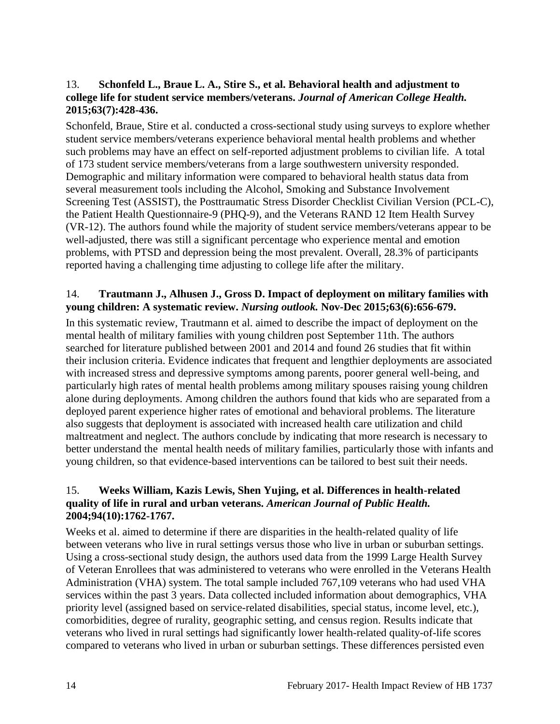# 13. **Schonfeld L., Braue L. A., Stire S., et al. Behavioral health and adjustment to college life for student service members/veterans.** *Journal of American College Health.*  **2015;63(7):428-436.**

Schonfeld, Braue, Stire et al. conducted a cross-sectional study using surveys to explore whether student service members/veterans experience behavioral mental health problems and whether such problems may have an effect on self-reported adjustment problems to civilian life. A total of 173 student service members/veterans from a large southwestern university responded. Demographic and military information were compared to behavioral health status data from several measurement tools including the Alcohol, Smoking and Substance Involvement Screening Test (ASSIST), the Posttraumatic Stress Disorder Checklist Civilian Version (PCL-C), the Patient Health Questionnaire-9 (PHQ-9), and the Veterans RAND 12 Item Health Survey (VR-12). The authors found while the majority of student service members/veterans appear to be well-adjusted, there was still a significant percentage who experience mental and emotion problems, with PTSD and depression being the most prevalent. Overall, 28.3% of participants reported having a challenging time adjusting to college life after the military.

# 14. **Trautmann J., Alhusen J., Gross D. Impact of deployment on military families with young children: A systematic review.** *Nursing outlook.* **Nov-Dec 2015;63(6):656-679.**

In this systematic review, Trautmann et al. aimed to describe the impact of deployment on the mental health of military families with young children post September 11th. The authors searched for literature published between 2001 and 2014 and found 26 studies that fit within their inclusion criteria. Evidence indicates that frequent and lengthier deployments are associated with increased stress and depressive symptoms among parents, poorer general well-being, and particularly high rates of mental health problems among military spouses raising young children alone during deployments. Among children the authors found that kids who are separated from a deployed parent experience higher rates of emotional and behavioral problems. The literature also suggests that deployment is associated with increased health care utilization and child maltreatment and neglect. The authors conclude by indicating that more research is necessary to better understand the mental health needs of military families, particularly those with infants and young children, so that evidence-based interventions can be tailored to best suit their needs.

# 15. **Weeks William, Kazis Lewis, Shen Yujing, et al. Differences in health-related quality of life in rural and urban veterans.** *American Journal of Public Health.*  **2004;94(10):1762-1767.**

Weeks et al. aimed to determine if there are disparities in the health-related quality of life between veterans who live in rural settings versus those who live in urban or suburban settings. Using a cross-sectional study design, the authors used data from the 1999 Large Health Survey of Veteran Enrollees that was administered to veterans who were enrolled in the Veterans Health Administration (VHA) system. The total sample included 767,109 veterans who had used VHA services within the past 3 years. Data collected included information about demographics, VHA priority level (assigned based on service-related disabilities, special status, income level, etc.), comorbidities, degree of rurality, geographic setting, and census region. Results indicate that veterans who lived in rural settings had significantly lower health-related quality-of-life scores compared to veterans who lived in urban or suburban settings. These differences persisted even